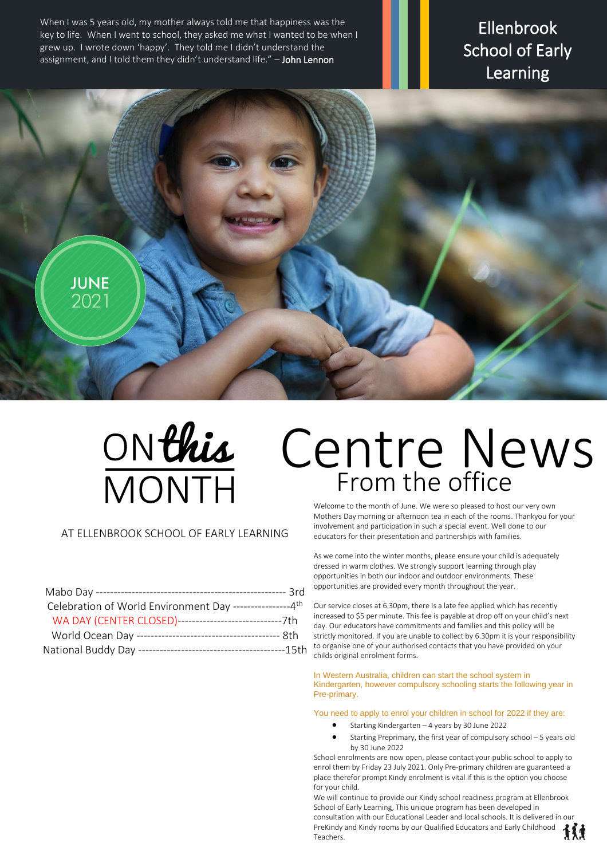When I was 5 years old, my mother always told me that happiness was the key to life. When I went to school, they asked me what I wanted to be when I grew up. I wrote down 'happy'. They told me I didn't understand the assignment, and I told them they didn't understand life." - John Lennon

Ellenbrook School of Early Learning





# Centre News From the office

## AT ELLENBROOK SCHOOL OF EARLY LEARNING

| Celebration of World Environment Day ----------------4th   |  |
|------------------------------------------------------------|--|
| WA DAY (CENTER CLOSED)---------------------------------7th |  |
|                                                            |  |
|                                                            |  |

Welcome to the month of June. We were so pleased to host our very own Mothers Day morning or afternoon tea in each of the rooms. Thankyou for your involvement and participation in such a special event. Well done to our educators for their presentation and partnerships with families.

As we come into the winter months, please ensure your child is adequately dressed in warm clothes. We strongly support learning through play opportunities in both our indoor and outdoor environments. These opportunities are provided every month throughout the year.

Our service closes at 6.30pm, there is a late fee applied which has recently increased to \$5 per minute. This fee is payable at drop off on your child's next day. Our educators have commitments and families and this policy will be strictly monitored. If you are unable to collect by 6.30pm it is your responsibility to organise one of your authorised contacts that you have provided on your childs original enrolment forms.

In Western Australia, children can start the school system in Kindergarten, however compulsory schooling starts the following year in Pre-primary.

You need to apply to enrol your children in school for 2022 if they are:

- Starting Kindergarten 4 years by 30 June 2022
- Starting Preprimary, the first year of compulsory school 5 years old by 30 June 2022

School enrolments are now open, please contact your public school to apply to enrol them by Friday 23 July 2021. Only Pre-primary children are guaranteed a place therefor prompt Kindy enrolment is vital if this is the option you choose for your child.

We will continue to provide our Kindy school readiness program at Ellenbrook School of Early Learning, This unique program has been developed in consultation with our Educational Leader and local schools. It is delivered in our PreKindy and Kindy rooms by our Qualified Educators and Early Childhood **Teachers**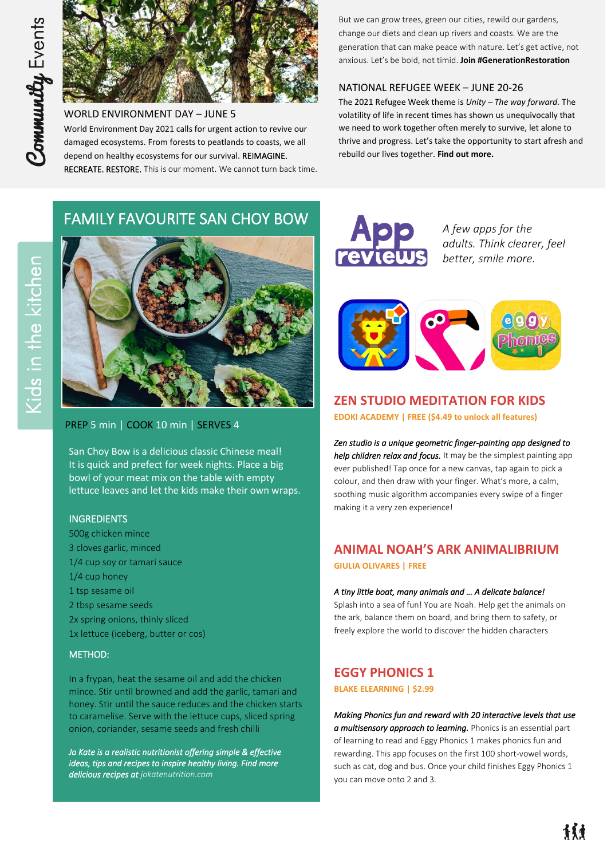

WORLD ENVIRONMENT DAY – JUNE 5 World Environment Day 2021 calls for urgent action to revive our damaged ecosystems. From forests to peatlands to coasts, we all depend on healthy ecosystems for our survival. REIMAGINE. RECREATE. RESTORE. This is our moment. We cannot turn back time.

But we can grow trees, green our cities, rewild our gardens, change our diets and clean up rivers and coasts. We are the generation that can make peace with nature. Let's get active, not anxious. Let's be bold, not timid. **[Join #GenerationRestoration](https://www.worldenvironmentday.global/)**

#### NATIONAL REFUGEE WEEK – JUNE 20-26

The 2021 Refugee Week theme is *Unity – The way forward.* The volatility of life in recent times has shown us unequivocally that we need to work together often merely to survive, let alone to thrive and progress. Let's take the opportunity to start afresh and rebuild our lives together. **[Find out more.](https://www.refugeeweek.org.au/)**

# FAMILY FAVOURITE SAN CHOY BOW



## PREP 5 min | COOK 10 min | SERVES 4

San Choy Bow is a delicious classic Chinese meal! It is quick and prefect for week nights. Place a big bowl of your meat mix on the table with empty lettuce leaves and let the kids make their own wraps.

#### INGREDIENTS

500g chicken mince 3 cloves garlic, minced 1/4 cup soy or tamari sauce 1/4 cup honey 1 tsp sesame oil 2 tbsp sesame seeds 2x spring onions, thinly sliced 1x lettuce (iceberg, butter or cos)

#### METHOD:

In a frypan, heat the sesame oil and add the chicken mince. Stir until browned and add the garlic, tamari and honey. Stir until the sauce reduces and the chicken starts to caramelise. Serve with the lettuce cups, sliced spring onion, coriander, sesame seeds and fresh chilli

*Jo Kate is a realistic nutritionist offering simple & effective ideas, tips and recipes to inspire healthy living. Find more delicious recipes a[t jokatenutrition.com](https://www.jokatenutrition.com/)* 



*A few apps for the adults. Think clearer, feel better, smile more.* 



# **ZEN STUDIO MEDITATION FOR KIDS**

**EDOKI ACADEMY | FREE (\$4.49 to unlock all features)**

*Zen studio is a unique geometric finger-painting app designed to help children relax and focus.* It may be the simplest painting app ever published! Tap once for a new canvas, tap again to pick a colour, and then draw with your finger. What's more, a calm, soothing music algorithm accompanies every swipe of a finger making it a very zen experience!

# **ANIMAL NOAH'S ARK ANIMALIBRIUM GIULIA OLIVARES | FREE**

#### *A tiny little boat, many animals and … A delicate balance!*

Splash into a sea of fun! You are Noah. Help get the animals on the ark, balance them on board, and bring them to safety, or freely explore the world to discover the hidden characters

# **EGGY PHONICS 1**

#### **BLAKE ELEARNING | \$2.99**

*Making Phonics fun and reward with 20 interactive levels that use a multisensory approach to learning.* Phonics is an essential part of learning to read and Eggy Phonics 1 makes phonics fun and rewarding. This app focuses on the first 100 short-vowel words, such as cat, dog and bus. Once your child finishes Eggy Phonics 1 you can move onto 2 and 3.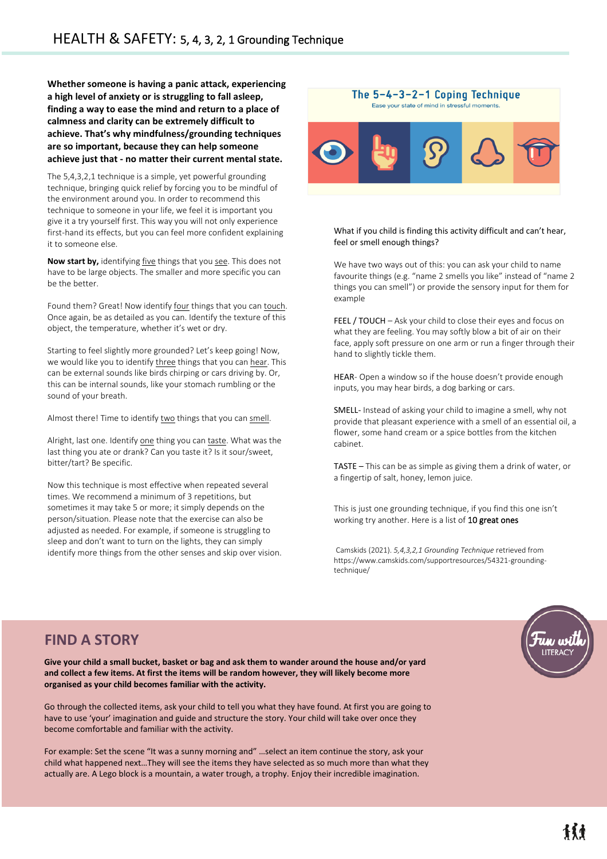*/* **a high level of anxiety or is struggling to fall asleep, Whether someone is having a panic attack, experiencing finding a way to ease the mind and return to a place of calmness and clarity can be extremely difficult to achieve. That's why mindfulness/grounding techniques are so important, because they can help someone achieve just that - no matter their current mental state.**

The 5,4,3,2,1 technique is a simple, yet powerful grounding technique, bringing quick relief by forcing you to be mindful of the environment around you. In order to recommend this technique to someone in your life, we feel it is important you give it a try yourself first. This way you will not only experience first-hand its effects, but you can feel more confident explaining it to someone else.

**Now start by,** identifying five things that you see. This does not have to be large objects. The smaller and more specific you can be the better.

Found them? Great! Now identify four things that you can touch. Once again, be as detailed as you can. Identify the texture of this object, the temperature, whether it's wet or dry.

Starting to feel slightly more grounded? Let's keep going! Now, we would like you to identify three things that you can hear. This can be external sounds like birds chirping or cars driving by. Or, this can be internal sounds like birds emilying or cars driving by: Or this can be internal sounds, like your stomach rumbling or the sound of your breath.

Almost there! Time to identify two things that you can smell.

Alright, last one. Identify one thing you can taste. What was the Airight, iast one: identify <u>one</u> timig you can **doste**. What was then last thing you ate or drank? Can you taste it? Is it sour/sweet, bitter/tart? Be specific.

Now this technique is most effective when repeated several times. We recommend a minimum of 3 repetitions, but sometimes it may take 5 or more; it simply depends on the person/situation. Please note that the exercise can also be adjusted as needed. For example, if someone is struggling to sleep and don't want to turn on the lights, they can simply identify more things from the other senses and skip over vision.



The 5-4-3-2-1 Coping Technique

#### What if you child is finding this activity difficult and can't hear, feel or smell enough things?

We have two ways out of this: you can ask your child to name favourite things (e.g. "name 2 smells you like" instead of "name 2 things you can smell") or provide the sensory input for them for example

FEEL / TOUCH – Ask your child to close their eyes and focus on what they are feeling. You may softly blow a bit of air on their face, apply soft pressure on one arm or run a finger through their hand to slightly tickle them.

HEAR- Open a window so if the house doesn't provide enough inputs, you may hear birds, a dog barking or cars.

SMELL- Instead of asking your child to imagine a smell, why not provide that pleasant experience with a smell of an essential oil, a flower, some hand cream or a spice bottles from the kitchen cabinet.

TASTE – This can be as simple as giving them a drink of water, or a fingertip of salt, honey, lemon juice.

This is just one grounding technique, if you find this one isn't working try another. Here is a list o[f 10 great ones](https://www.counselorkeri.com/2019/04/02/help-kids-manage-worry/)

Camskids (2021). *5,4,3,2,1 Grounding Technique* retrieved from https://www.camskids.com/supportresources/54321-groundingtechnique/



# **FIND A STORY**

l

**Give your child a small bucket, basket or bag and ask them to wander around the house and/or yard and collect a few items. At first the items will be random however, they will likely become more organised as your child becomes familiar with the activity.**

Go through the collected items, ask your child to tell you what they have found. At first you are going to have to use 'your' imagination and guide and structure the story. Your child will take over once they become comfortable and familiar with the activity.

For example: Set the scene "It was a sunny morning and" …select an item continue the story, ask your child what happened next…They will see the items they have selected as so much more than what they actually are. A Lego block is a mountain, a water trough, a trophy. Enjoy their incredible imagination.